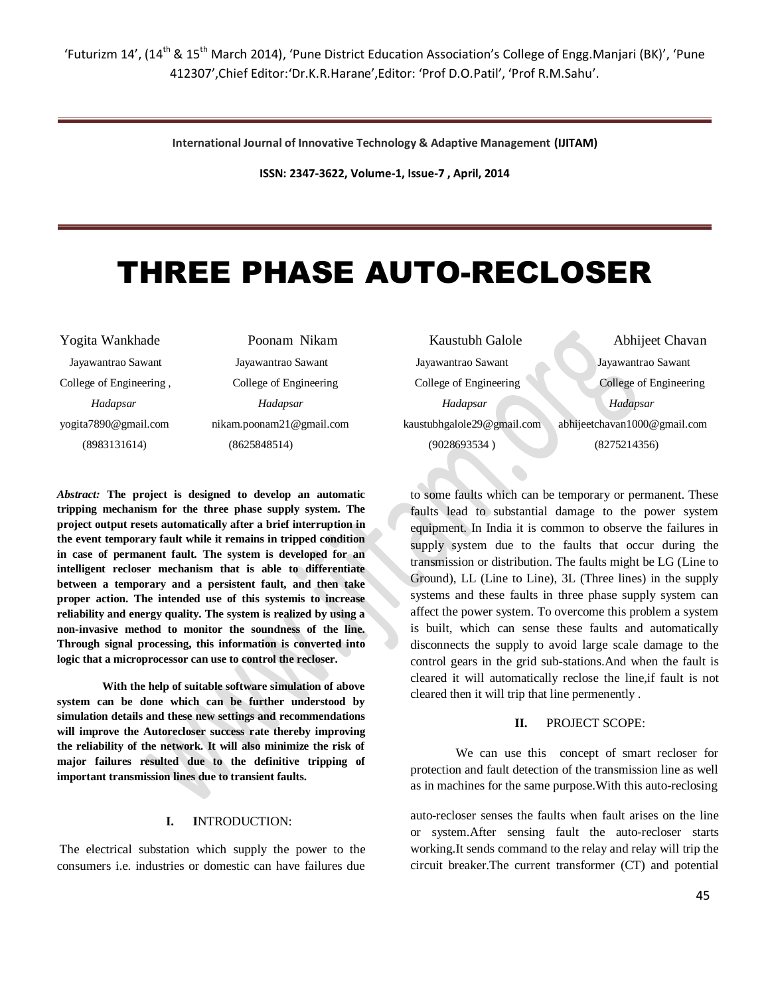'Futurizm 14', (14<sup>th</sup> & 15<sup>th</sup> March 2014), 'Pune District Education Association's College of Engg.Manjari (BK)', 'Pune 412307',Chief Editor:'Dr.K.R.Harane',Editor: 'Prof D.O.Patil', 'Prof R.M.Sahu'.

**International Journal of Innovative Technology & Adaptive Management (IJITAM)**

**ISSN: 2347-3622, Volume-1, Issue-7 , April, 2014**

# THREE PHASE AUTO-RECLOSER

Yogita Wankhade Poonam Nikam Kaustubh Galole Abhijeet Chavan Jayawantrao Sawant Jayawantrao Sawant Jayawantrao Sawant Jayawantrao Sawant College of Engineering , College of Engineering College of Engineering College of Engineering  *Hadapsar Hadapsar Hadapsar Hadapsar* yogita7890@gmail.com nikam.poonam21@gmail.com kaustubhgalole29@gmail.com abhijeetchavan1000@gmail.com (8983131614) (8625848514) (9028693534 ) (8275214356)

*Abstract:* **The project is designed to develop an automatic tripping mechanism for the three phase supply system. The project output resets automatically after a brief interruption in the event temporary fault while it remains in tripped condition in case of permanent fault. The system is developed for an intelligent recloser mechanism that is able to differentiate between a temporary and a persistent fault, and then take proper action. The intended use of this systemis to increase reliability and energy quality. The system is realized by using a non-invasive method to monitor the soundness of the line. Through signal processing, this information is converted into logic that a microprocessor can use to control the recloser.**

**With the help of suitable software simulation of above system can be done which can be further understood by simulation details and these new settings and recommendations will improve the Autorecloser success rate thereby improving the reliability of the network. It will also minimize the risk of major failures resulted due to the definitive tripping of important transmission lines due to transient faults.**

#### **I. I**NTRODUCTION:

The electrical substation which supply the power to the consumers i.e. industries or domestic can have failures due

to some faults which can be temporary or permanent. These faults lead to substantial damage to the power system equipment. In India it is common to observe the failures in supply system due to the faults that occur during the transmission or distribution. The faults might be LG (Line to Ground), LL (Line to Line), 3L (Three lines) in the supply systems and these faults in three phase supply system can affect the power system. To overcome this problem a system is built, which can sense these faults and automatically disconnects the supply to avoid large scale damage to the control gears in the grid sub-stations.And when the fault is cleared it will automatically reclose the line,if fault is not cleared then it will trip that line permenently .

# **II.** PROJECT SCOPE:

We can use this concept of smart recloser for protection and fault detection of the transmission line as well as in machines for the same purpose.With this auto-reclosing

auto-recloser senses the faults when fault arises on the line or system.After sensing fault the auto-recloser starts working.It sends command to the relay and relay will trip the circuit breaker.The current transformer (CT) and potential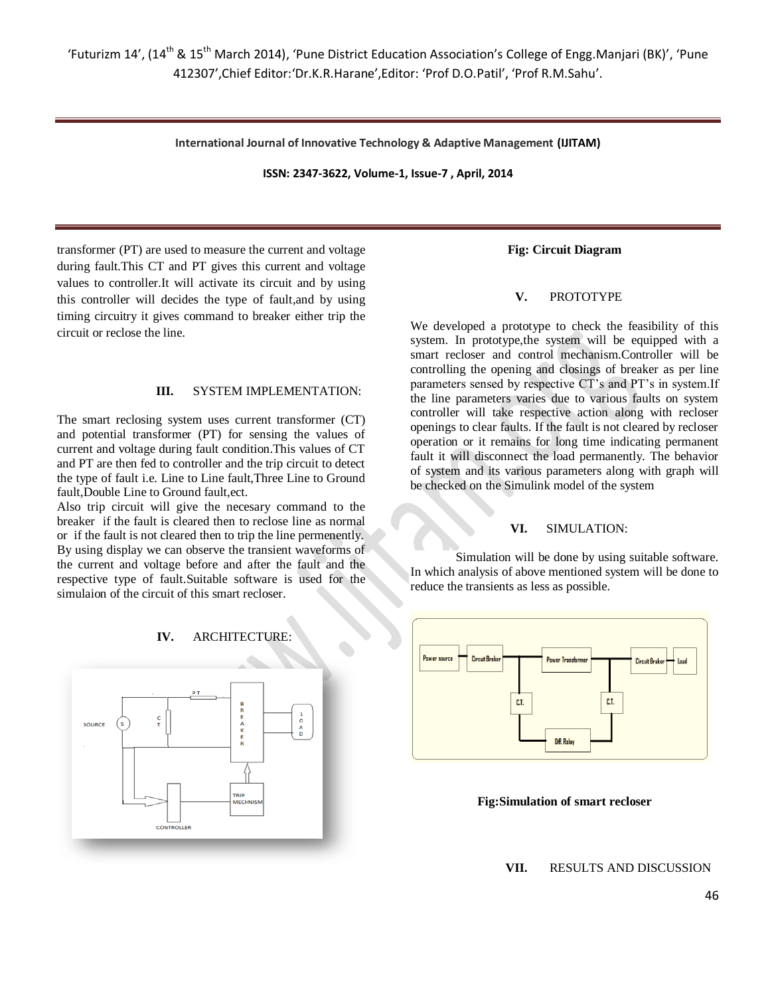**International Journal of Innovative Technology & Adaptive Management (IJITAM)**

**ISSN: 2347-3622, Volume-1, Issue-7 , April, 2014**

transformer (PT) are used to measure the current and voltage during fault.This CT and PT gives this current and voltage values to controller.It will activate its circuit and by using this controller will decides the type of fault,and by using timing circuitry it gives command to breaker either trip the circuit or reclose the line.

#### **III.** SYSTEM IMPLEMENTATION:

The smart reclosing system uses current transformer (CT) and potential transformer (PT) for sensing the values of current and voltage during fault condition.This values of CT and PT are then fed to controller and the trip circuit to detect the type of fault i.e. Line to Line fault,Three Line to Ground fault,Double Line to Ground fault,ect.

Also trip circuit will give the necesary command to the breaker if the fault is cleared then to reclose line as normal or if the fault is not cleared then to trip the line permenently. By using display we can observe the transient waveforms of the current and voltage before and after the fault and the respective type of fault.Suitable software is used for the simulaion of the circuit of this smart recloser.



# **Fig: Circuit Diagram**

#### **V.** PROTOTYPE

We developed a prototype to check the feasibility of this system. In prototype,the system will be equipped with a smart recloser and control mechanism.Controller will be controlling the opening and closings of breaker as per line parameters sensed by respective CT's and PT's in system.If the line parameters varies due to various faults on system controller will take respective action along with recloser openings to clear faults. If the fault is not cleared by recloser operation or it remains for long time indicating permanent fault it will disconnect the load permanently. The behavior of system and its various parameters along with graph will be checked on the Simulink model of the system

# **VI.** SIMULATION:

Simulation will be done by using suitable software. In which analysis of above mentioned system will be done to reduce the transients as less as possible.



**Fig:Simulation of smart recloser**

**VII.** RESULTS AND DISCUSSION